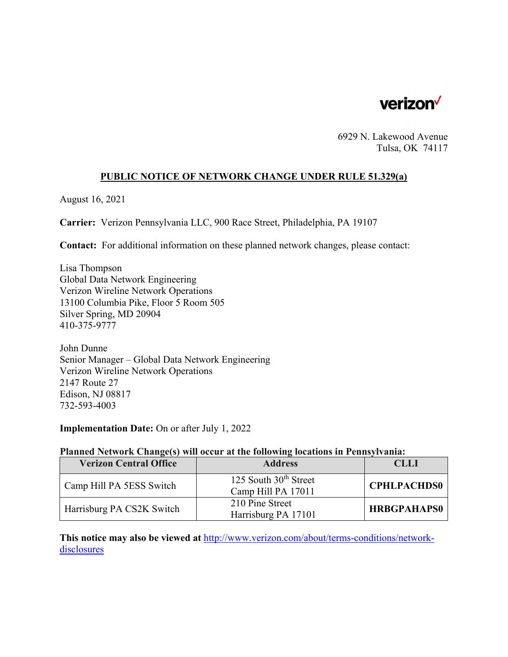

6929 N. Lakewood Avenue Tulsa, OK 74117

# **PUBLIC NOTICE OF NETWORK CHANGE UNDER RULE 51.329(a)**

August 16, 2021

**Carrier:** Verizon Pennsylvania LLC, 900 Race Street, Philadelphia, PA 19107

**Contact:** For additional information on these planned network changes, please contact:

Lisa Thompson Global Data Network Engineering Verizon Wireline Network Operations 13100 Columbia Pike, Floor 5 Room 505 Silver Spring, MD 20904 410-375-9777

John Dunne Senior Manager – Global Data Network Engineering Verizon Wireline Network Operations 2147 Route 27 Edison, NJ 08817 732-593-4003

**Implementation Date:** On or after July 1, 2022

### **Planned Network Change(s) will occur at the following locations in Pennsylvania:**

| <b>Verizon Central Office</b> | <b>Address</b>                                | CLLI               |
|-------------------------------|-----------------------------------------------|--------------------|
| Camp Hill PA 5ESS Switch      | 125 South $30th$ Street<br>Camp Hill PA 17011 | <b>CPHLPACHDS0</b> |
| Harrisburg PA CS2K Switch     | 210 Pine Street<br>Harrisburg PA 17101        | <b>HRBGPAHAPS0</b> |

**This notice may also be viewed at** http://www.verizon.com/about/terms-conditions/networkdisclosures